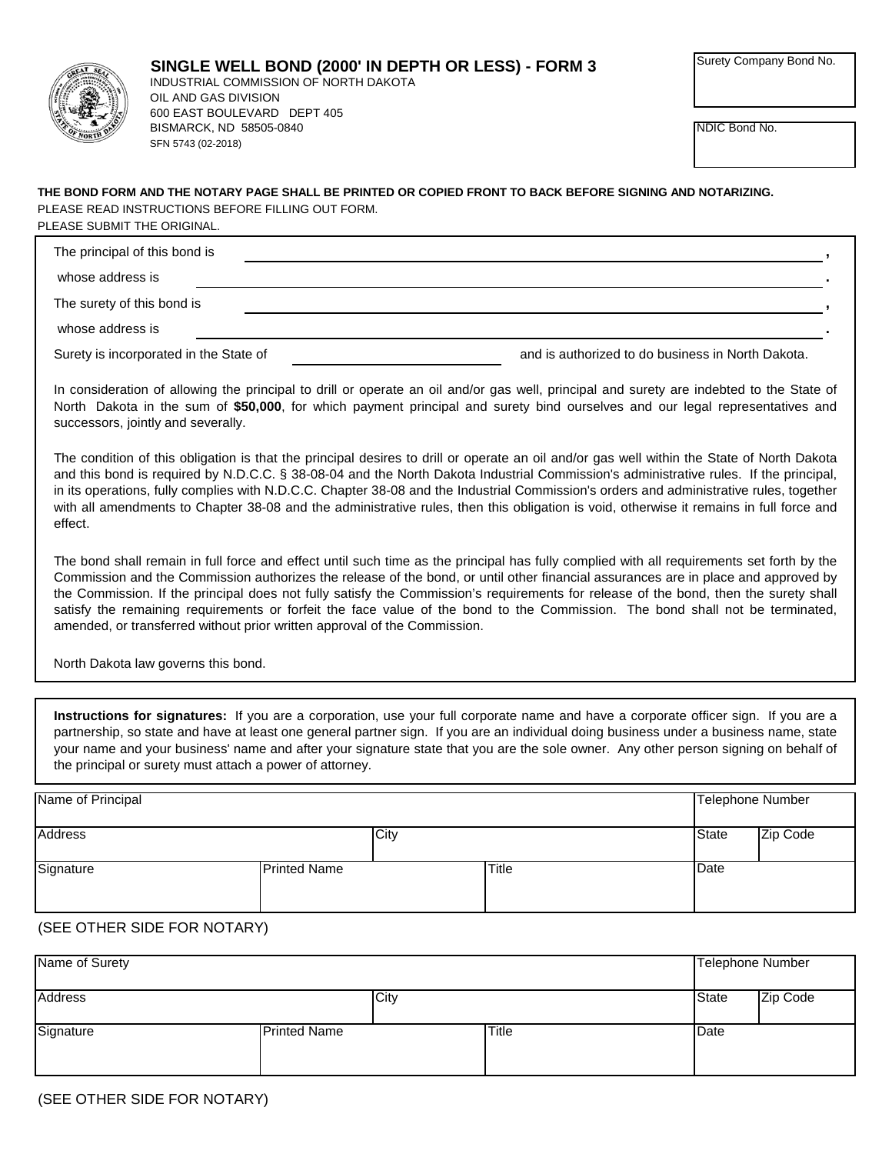

NDIC Bond No.

## PLEASE READ INSTRUCTIONS BEFORE FILLING OUT FORM. **THE BOND FORM AND THE NOTARY PAGE SHALL BE PRINTED OR COPIED FRONT TO BACK BEFORE SIGNING AND NOTARIZING.** PLEASE SUBMIT THE ORIGINAL.

| The principal of this bond is          |                                                   |
|----------------------------------------|---------------------------------------------------|
| whose address is                       |                                                   |
| The surety of this bond is             |                                                   |
| whose address is                       |                                                   |
| Surety is incorporated in the State of | and is authorized to do business in North Dakota. |

In consideration of allowing the principal to drill or operate an oil and/or gas well, principal and surety are indebted to the State of North Dakota in the sum of **\$50,000**, for which payment principal and surety bind ourselves and our legal representatives and successors, jointly and severally.

The condition of this obligation is that the principal desires to drill or operate an oil and/or gas well within the State of North Dakota and this bond is required by N.D.C.C. § 38-08-04 and the North Dakota Industrial Commission's administrative rules. If the principal, in its operations, fully complies with N.D.C.C. Chapter 38-08 and the Industrial Commission's orders and administrative rules, together with all amendments to Chapter 38-08 and the administrative rules, then this obligation is void, otherwise it remains in full force and effect.

The bond shall remain in full force and effect until such time as the principal has fully complied with all requirements set forth by the Commission and the Commission authorizes the release of the bond, or until other financial assurances are in place and approved by the Commission. If the principal does not fully satisfy the Commission's requirements for release of the bond, then the surety shall satisfy the remaining requirements or forfeit the face value of the bond to the Commission. The bond shall not be terminated, amended, or transferred without prior written approval of the Commission.

North Dakota law governs this bond.

**Instructions for signatures:** If you are a corporation, use your full corporate name and have a corporate officer sign. If you are a partnership, so state and have at least one general partner sign. If you are an individual doing business under a business name, state your name and your business' name and after your signature state that you are the sole owner. Any other person signing on behalf of the principal or surety must attach a power of attorney.

| Name of Principal |                     |      |       | Telephone Number |          |
|-------------------|---------------------|------|-------|------------------|----------|
| Address           |                     | City |       | <b>State</b>     | Zip Code |
| Signature         | <b>Printed Name</b> |      | Title | Date             |          |

## (SEE OTHER SIDE FOR NOTARY)

| Name of Surety |                     |              |       | Telephone Number |
|----------------|---------------------|--------------|-------|------------------|
| Address        | City                |              | State | Zip Code         |
| Signature      | <b>Printed Name</b> | <b>Title</b> | Date  |                  |